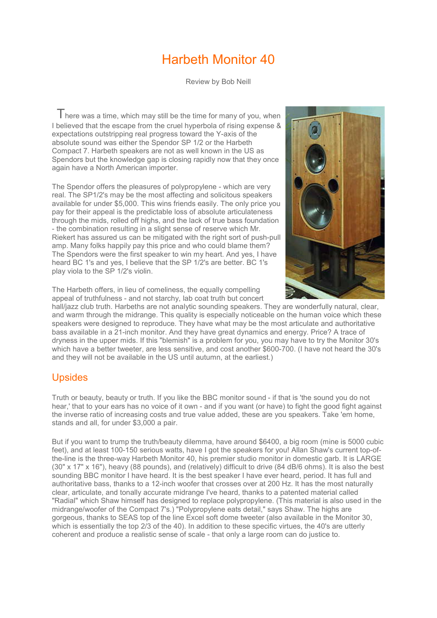## Harbeth Monitor 40

Review by Bob Neill

There was a time, which may still be the time for many of you, when I believed that the escape from the cruel hyperbola of rising expense & expectations outstripping real progress toward the Y-axis of the absolute sound was either the Spendor SP 1/2 or the Harbeth Compact 7. Harbeth speakers are not as well known in the US as Spendors but the knowledge gap is closing rapidly now that they once again have a North American importer.

The Spendor offers the pleasures of polypropylene - which are very real. The SP1/2's may be the most affecting and solicitous speakers available for under \$5,000. This wins friends easily. The only price you pay for their appeal is the predictable loss of absolute articulateness through the mids, rolled off highs, and the lack of true bass foundation - the combination resulting in a slight sense of reserve which Mr. Riekert has assured us can be mitigated with the right sort of push-pull amp. Many folks happily pay this price and who could blame them? The Spendors were the first speaker to win my heart. And yes, I have heard BC 1's and yes, I believe that the SP 1/2's are better. BC 1's play viola to the SP 1/2's violin.



The Harbeth offers, in lieu of comeliness, the equally compelling appeal of truthfulness - and not starchy, lab coat truth but concert

hall/jazz club truth. Harbeths are not analytic sounding speakers. They are wonderfully natural, clear, and warm through the midrange. This quality is especially noticeable on the human voice which these speakers were designed to reproduce. They have what may be the most articulate and authoritative bass available in a 21-inch monitor. And they have great dynamics and energy. Price? A trace of dryness in the upper mids. If this "blemish" is a problem for you, you may have to try the Monitor 30's which have a better tweeter, are less sensitive, and cost another \$600-700. (I have not heard the 30's and they will not be available in the US until autumn, at the earliest.)

## Upsides

Truth or beauty, beauty or truth. If you like the BBC monitor sound - if that is 'the sound you do not hear,' that to your ears has no voice of it own - and if you want (or have) to fight the good fight against the inverse ratio of increasing costs and true value added, these are you speakers. Take 'em home, stands and all, for under \$3,000 a pair.

But if you want to trump the truth/beauty dilemma, have around \$6400, a big room (mine is 5000 cubic feet), and at least 100-150 serious watts, have I got the speakers for you! Allan Shaw's current top-ofthe-line is the three-way Harbeth Monitor 40, his premier studio monitor in domestic garb. It is LARGE (30" x 17" x 16"), heavy (88 pounds), and (relatively) difficult to drive (84 dB/6 ohms). It is also the best sounding BBC monitor I have heard. It is the best speaker I have ever heard, period. It has full and authoritative bass, thanks to a 12-inch woofer that crosses over at 200 Hz. It has the most naturally clear, articulate, and tonally accurate midrange I've heard, thanks to a patented material called "Radial" which Shaw himself has designed to replace polypropylene. (This material is also used in the midrange/woofer of the Compact 7's.) "Polypropylene eats detail," says Shaw. The highs are gorgeous, thanks to SEAS top of the line Excel soft dome tweeter (also available in the Monitor 30, which is essentially the top 2/3 of the 40). In addition to these specific virtues, the 40's are utterly coherent and produce a realistic sense of scale - that only a large room can do justice to.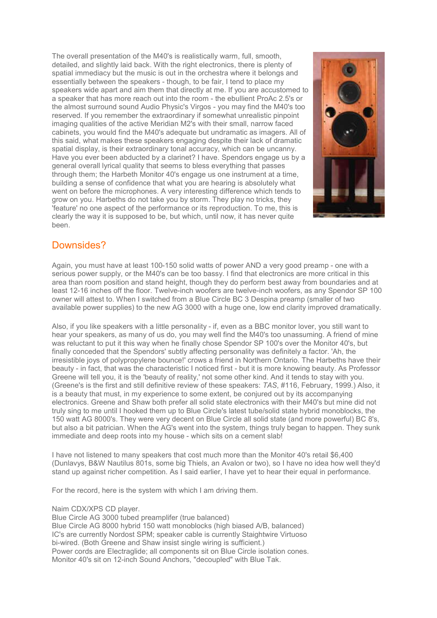The overall presentation of the M40's is realistically warm, full, smooth, detailed, and slightly laid back. With the right electronics, there is plenty of spatial immediacy but the music is out in the orchestra where it belongs and essentially between the speakers - though, to be fair, I tend to place my speakers wide apart and aim them that directly at me. If you are accustomed to a speaker that has more reach out into the room - the ebullient ProAc 2.5's or the almost surround sound Audio Physic's Virgos - you may find the M40's too reserved. If you remember the extraordinary if somewhat unrealistic pinpoint imaging qualities of the active Meridian M2's with their small, narrow faced cabinets, you would find the M40's adequate but undramatic as imagers. All of this said, what makes these speakers engaging despite their lack of dramatic spatial display, is their extraordinary tonal accuracy, which can be uncanny. Have you ever been abducted by a clarinet? I have. Spendors engage us by a general overall lyrical quality that seems to bless everything that passes through them; the Harbeth Monitor 40's engage us one instrument at a time, building a sense of confidence that what you are hearing is absolutely what went on before the microphones. A very interesting difference which tends to grow on you. Harbeths do not take you by storm. They play no tricks, they 'feature' no one aspect of the performance or its reproduction. To me, this is clearly the way it is supposed to be, but which, until now, it has never quite been.



## Downsides?

Again, you must have at least 100-150 solid watts of power AND a very good preamp - one with a serious power supply, or the M40's can be too bassy. I find that electronics are more critical in this area than room position and stand height, though they do perform best away from boundaries and at least 12-16 inches off the floor. Twelve-inch woofers are twelve-inch woofers, as any Spendor SP 100 owner will attest to. When I switched from a Blue Circle BC 3 Despina preamp (smaller of two available power supplies) to the new AG 3000 with a huge one, low end clarity improved dramatically.

Also, if you like speakers with a little personality - if, even as a BBC monitor lover, you still want to hear your speakers, as many of us do, you may well find the M40's too unassuming. A friend of mine was reluctant to put it this way when he finally chose Spendor SP 100's over the Monitor 40's, but finally conceded that the Spendors' subtly affecting personality was definitely a factor. 'Ah, the irresistible joys of polypropylene bounce!' crows a friend in Northern Ontario. The Harbeths have their beauty - in fact, that was the characteristic I noticed first - but it is more knowing beauty. As Professor Greene will tell you, it is the 'beauty of reality,' not some other kind. And it tends to stay with you. (Greene's is the first and still definitive review of these speakers: *TAS*, #116, February, 1999.) Also, it is a beauty that must, in my experience to some extent, be conjured out by its accompanying electronics. Greene and Shaw both prefer all solid state electronics with their M40's but mine did not truly sing to me until I hooked them up to Blue Circle's latest tube/solid state hybrid monoblocks, the 150 watt AG 8000's. They were very decent on Blue Circle all solid state (and more powerful) BC 8's, but also a bit patrician. When the AG's went into the system, things truly began to happen. They sunk immediate and deep roots into my house - which sits on a cement slab!

I have not listened to many speakers that cost much more than the Monitor 40's retail \$6,400 (Dunlavys, B&W Nautilus 801s, some big Thiels, an Avalon or two), so I have no idea how well they'd stand up against richer competition. As I said earlier, I have yet to hear their equal in performance.

For the record, here is the system with which I am driving them.

Naim CDX/XPS CD player.

Blue Circle AG 3000 tubed preamplifer (true balanced)

Blue Circle AG 8000 hybrid 150 watt monoblocks (high biased A/B, balanced) IC's are currently Nordost SPM; speaker cable is currently Staightwire Virtuoso bi-wired. (Both Greene and Shaw insist single wiring is sufficient.) Power cords are Electraglide; all components sit on Blue Circle isolation cones. Monitor 40's sit on 12-inch Sound Anchors, "decoupled" with Blue Tak.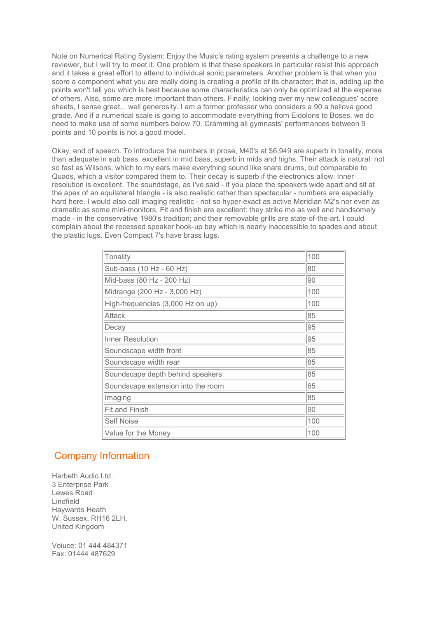Note on Numerical Rating System: Enjoy the Music's rating system presents a challenge to a new reviewer, but I will try to meet it. One problem is that these speakers in particular resist this approach and it takes a great effort to attend to individual sonic parameters. Another problem is that when you score a component what you are really doing is creating a profile of its character; that is, adding up the points won't tell you which is best because some characteristics can only be optimized at the expense of others. Also, some are more important than others. Finally, looking over my new colleagues' score sheets, I sense great... well generosity. I am a former professor who considers a 90 a hellova good grade. And if a numerical scale is going to accommodate everything from Eidolons to Boses, we do need to make use of some numbers below 70. Cramming all gymnasts' performances between 9 points and 10 points is not a good model.

Okay, end of speech. To introduce the numbers in prose, M40's at \$6,949 are superb in tonality, more than adequate in sub bass, excellent in mid bass, superb in mids and highs. Their attack is natural: not so fast as Wilsons, which to my ears make everything sound like snare drums, but comparable to Quads, which a visitor compared them to. Their decay is superb if the electronics allow. Inner resolution is excellent. The soundstage, as I've said - if you place the speakers wide apart and sit at the apex of an equilateral triangle - is also realistic rather than spectacular - numbers are especially hard here. I would also call imaging realistic - not so hyper-exact as active Meridian M2's nor even as dramatic as some mini-monitors. Fit and finish are excellent: they strike me as well and handsomely made - in the conservative 1980's tradition; and their removable grills are state-of-the-art. I could complain about the recessed speaker hook-up bay which is nearly inaccessible to spades and about the plastic lugs. Even Compact 7's have brass lugs.

| Tonality                           | 100 |
|------------------------------------|-----|
| Sub-bass (10 Hz - 60 Hz)           | 80  |
| Mid-bass (80 Hz - 200 Hz)          | 90  |
| Midrange (200 Hz - 3,000 Hz)       | 100 |
| High-frequencies (3,000 Hz on up)  | 100 |
| <b>Attack</b>                      | 85  |
| Decay                              | 95  |
| <b>Inner Resolution</b>            | 95  |
| Soundscape width front             | 85  |
| Soundscape width rear              | 85  |
| Soundscape depth behind speakers   | 85  |
| Soundscape extension into the room | 65  |
| Imaging                            | 85  |
| Fit and Finish                     | 90  |
| <b>Self Noise</b>                  | 100 |
| Value for the Money                | 100 |

## Company Information

Harbeth Audio Ltd. 3 Enterprise Park Lewes Road Lindfield Haywards Heath W. Sussex, RH16 2LH, United Kingdom

Voiuce: 01 444 484371 Fax: 01444 487629